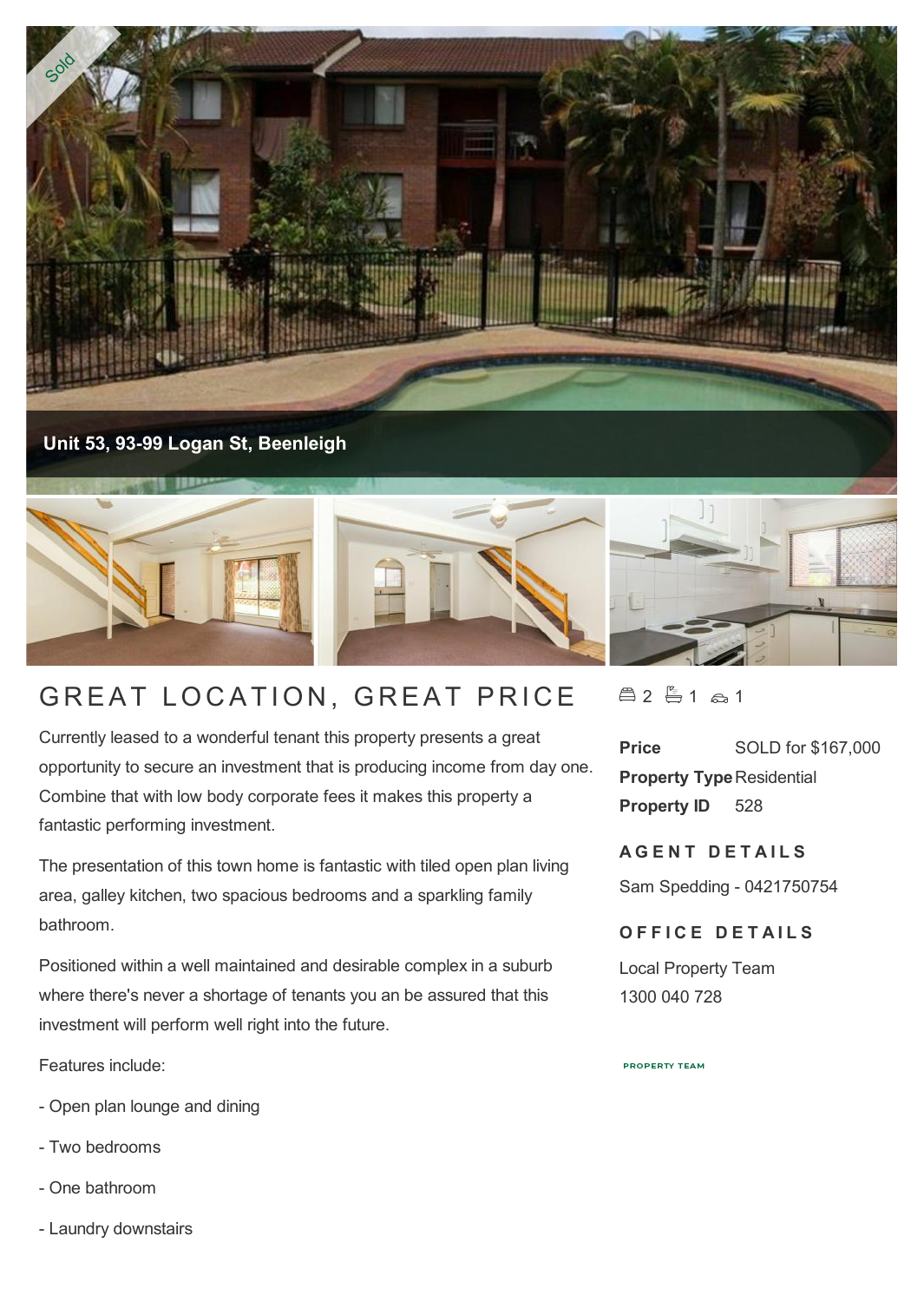

**Unit 53, 93-99 Logan St, Beenleigh**



## GREAT LOCATION, GREAT PRICE

Currently leased to a wonderful tenant this property presents a great opportunity to secure an investment that is producing income from day one. Combine that with low body corporate fees it makes this property a fantastic performing investment.

The presentation of this town home is fantastic with tiled open plan living area, galley kitchen, two spacious bedrooms and a sparkling family bathroom.

Positioned within a well maintained and desirable complex in a suburb where there's never a shortage of tenants you an be assured that this investment will perform well right into the future.

Features include:

- Open plan lounge and dining
- Two bedrooms
- One bathroom
- Laundry downstairs

 $42 - 1$   $2 + 1$ 

**Price** SOLD for \$167,000 **Property Type Residential Property ID** 528

**AGENT DETAILS** 

Sam Spedding - 0421750754

## **OFFICE DETAILS**

Local Property Team 1300 040 728

**PROPERTY TEAM**